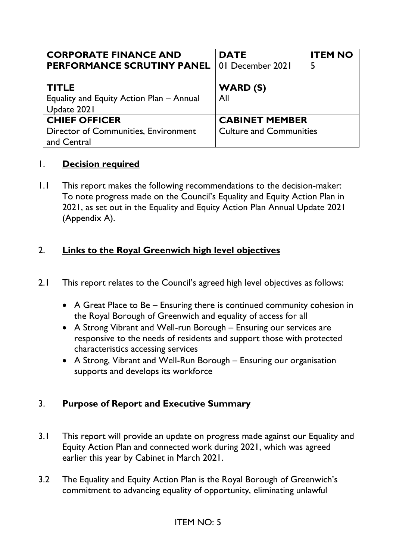| <b>CORPORATE FINANCE AND</b><br><b>PERFORMANCE SCRUTINY PANEL</b> | <b>DATE</b><br>01 December 2021 | <b>ITEM NO</b><br>5 |
|-------------------------------------------------------------------|---------------------------------|---------------------|
|                                                                   |                                 |                     |
| <b>TITLE</b>                                                      | <b>WARD (S)</b>                 |                     |
| Equality and Equity Action Plan - Annual                          | All                             |                     |
| Update 2021                                                       |                                 |                     |
| <b>CHIEF OFFICER</b>                                              | <b>CABINET MEMBER</b>           |                     |
| <b>Director of Communities, Environment</b>                       | <b>Culture and Communities</b>  |                     |
| and Central                                                       |                                 |                     |

#### 1. **Decision required**

1.1 This report makes the following recommendations to the decision-maker: To note progress made on the Council's Equality and Equity Action Plan in 2021, as set out in the Equality and Equity Action Plan Annual Update 2021 (Appendix A).

## 2. **Links to the Royal Greenwich high level objectives**

- 2.1 This report relates to the Council's agreed high level objectives as follows:
	- A Great Place to Be Ensuring there is continued community cohesion in the Royal Borough of Greenwich and equality of access for all
	- A Strong Vibrant and Well-run Borough Ensuring our services are responsive to the needs of residents and support those with protected characteristics accessing services
	- A Strong, Vibrant and Well-Run Borough Ensuring our organisation supports and develops its workforce

### 3. **Purpose of Report and Executive Summary**

- 3.1 This report will provide an update on progress made against our Equality and Equity Action Plan and connected work during 2021, which was agreed earlier this year by Cabinet in March 2021.
- 3.2 The Equality and Equity Action Plan is the Royal Borough of Greenwich's commitment to advancing equality of opportunity, eliminating unlawful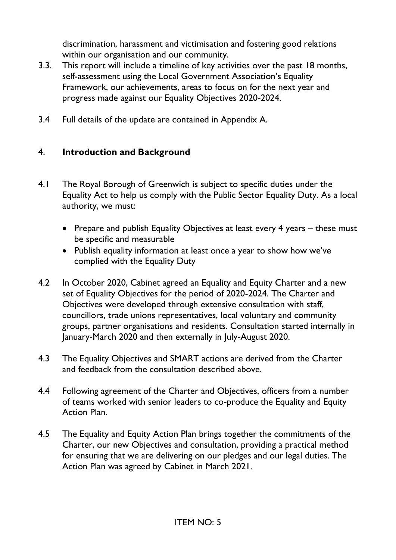discrimination, harassment and victimisation and fostering good relations within our organisation and our community.

- 3.3. This report will include a timeline of key activities over the past 18 months, self-assessment using the Local Government Association's Equality Framework, our achievements, areas to focus on for the next year and progress made against our Equality Objectives 2020-2024.
- 3.4 Full details of the update are contained in Appendix A.

## 4. **Introduction and Background**

- 4.1 The Royal Borough of Greenwich is subject to specific duties under the Equality Act to help us comply with the Public Sector Equality Duty. As a local authority, we must:
	- Prepare and publish Equality Objectives at least every 4 years these must be specific and measurable
	- Publish equality information at least once a year to show how we've complied with the Equality Duty
- 4.2 In October 2020, Cabinet agreed an Equality and Equity Charter and a new set of Equality Objectives for the period of 2020-2024. The Charter and Objectives were developed through extensive consultation with staff, councillors, trade unions representatives, local voluntary and community groups, partner organisations and residents. Consultation started internally in January-March 2020 and then externally in July-August 2020.
- 4.3 The Equality Objectives and SMART actions are derived from the Charter and feedback from the consultation described above.
- 4.4 Following agreement of the Charter and Objectives, officers from a number of teams worked with senior leaders to co-produce the Equality and Equity Action Plan.
- 4.5 The Equality and Equity Action Plan brings together the commitments of the Charter, our new Objectives and consultation, providing a practical method for ensuring that we are delivering on our pledges and our legal duties. The Action Plan was agreed by Cabinet in March 2021.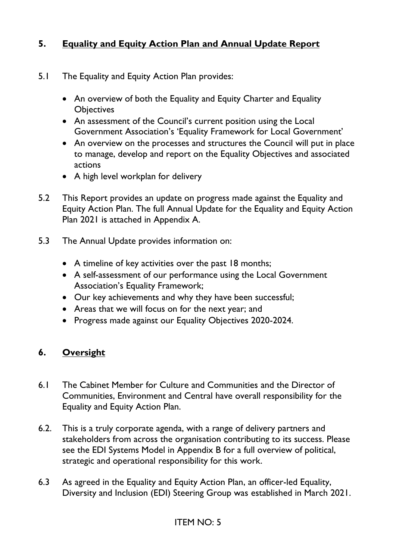## **5. Equality and Equity Action Plan and Annual Update Report**

- 5.1 The Equality and Equity Action Plan provides:
	- An overview of both the Equality and Equity Charter and Equality **Objectives**
	- An assessment of the Council's current position using the Local Government Association's 'Equality Framework for Local Government'
	- An overview on the processes and structures the Council will put in place to manage, develop and report on the Equality Objectives and associated actions
	- A high level workplan for delivery
- 5.2 This Report provides an update on progress made against the Equality and Equity Action Plan. The full Annual Update for the Equality and Equity Action Plan 2021 is attached in Appendix A.
- 5.3 The Annual Update provides information on:
	- A timeline of key activities over the past 18 months;
	- A self-assessment of our performance using the Local Government Association's Equality Framework;
	- Our key achievements and why they have been successful;
	- Areas that we will focus on for the next year; and
	- Progress made against our Equality Objectives 2020-2024.

### **6. Oversight**

- 6.1 The Cabinet Member for Culture and Communities and the Director of Communities, Environment and Central have overall responsibility for the Equality and Equity Action Plan.
- 6.2. This is a truly corporate agenda, with a range of delivery partners and stakeholders from across the organisation contributing to its success. Please see the EDI Systems Model in Appendix B for a full overview of political, strategic and operational responsibility for this work.
- 6.3 As agreed in the Equality and Equity Action Plan, an officer-led Equality, Diversity and Inclusion (EDI) Steering Group was established in March 2021.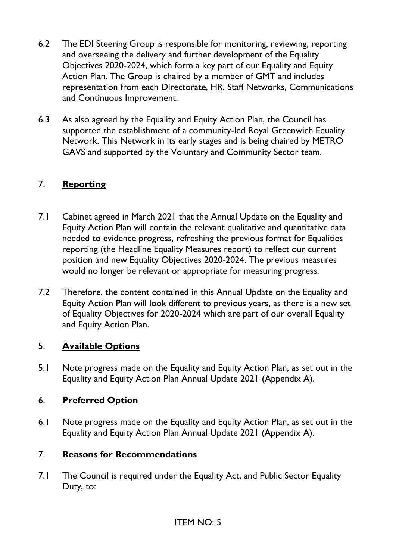- 6.2 The EDI Steering Group is responsible for monitoring, reviewing, reporting and overseeing the delivery and further development of the Equality Objectives 2020-2024, which form a key part of our Equality and Equity Action Plan. The Group is chaired by a member of GMT and includes representation from each Directorate, HR, Staff Networks, Communications and Continuous Improvement.
- 6.3 As also agreed by the Equality and Equity Action Plan, the Council has supported the establishment of a community-led Royal Greenwich Equality Network. This Network in its early stages and is being chaired by METRO GAVS and supported by the Voluntary and Community Sector team.

## 7. **Reporting**

- 7.1 Cabinet agreed in March 2021 that the Annual Update on the Equality and Equity Action Plan will contain the relevant qualitative and quantitative data needed to evidence progress, refreshing the previous format for Equalities reporting (the Headline Equality Measures report) to reflect our current position and new Equality Objectives 2020-2024. The previous measures would no longer be relevant or appropriate for measuring progress.
- 7.2 Therefore, the content contained in this Annual Update on the Equality and Equity Action Plan will look different to previous years, as there is a new set of Equality Objectives for 2020-2024 which are part of our overall Equality and Equity Action Plan.

### 5. **Available Options**

5.1 Note progress made on the Equality and Equity Action Plan, as set out in the Equality and Equity Action Plan Annual Update 2021 (Appendix A).

### 6. **Preferred Option**

6.1 Note progress made on the Equality and Equity Action Plan, as set out in the Equality and Equity Action Plan Annual Update 2021 (Appendix A).

### 7. **Reasons for Recommendations**

7.1 The Council is required under the Equality Act, and Public Sector Equality Duty, to: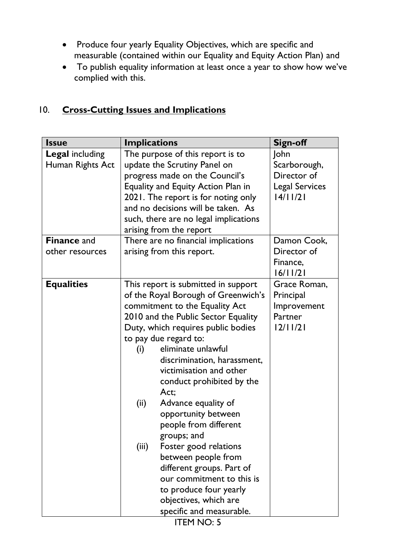- Produce four yearly Equality Objectives, which are specific and measurable (contained within our Equality and Equity Action Plan) and
- To publish equality information at least once a year to show how we've complied with this.

# 10. **Cross-Cutting Issues and Implications**

| <b>Issue</b>           | <b>Implications</b>                   | <b>Sign-off</b>       |
|------------------------|---------------------------------------|-----------------------|
| <b>Legal including</b> | The purpose of this report is to      | John                  |
| Human Rights Act       | update the Scrutiny Panel on          | Scarborough,          |
|                        | progress made on the Council's        | Director of           |
|                        | Equality and Equity Action Plan in    | <b>Legal Services</b> |
|                        | 2021. The report is for noting only   | 14/11/21              |
|                        | and no decisions will be taken. As    |                       |
|                        | such, there are no legal implications |                       |
|                        | arising from the report               |                       |
| <b>Finance and</b>     | There are no financial implications   | Damon Cook,           |
| other resources        | arising from this report.             | Director of           |
|                        |                                       | Finance,              |
|                        |                                       | 16/11/21              |
| <b>Equalities</b>      | This report is submitted in support   | Grace Roman,          |
|                        | of the Royal Borough of Greenwich's   | Principal             |
|                        | commitment to the Equality Act        | Improvement           |
|                        | 2010 and the Public Sector Equality   | Partner               |
|                        | Duty, which requires public bodies    | 12/11/21              |
|                        | to pay due regard to:                 |                       |
|                        | eliminate unlawful<br>(i)             |                       |
|                        | discrimination, harassment,           |                       |
|                        | victimisation and other               |                       |
|                        | conduct prohibited by the             |                       |
|                        | Act;                                  |                       |
|                        | (ii)<br>Advance equality of           |                       |
|                        | opportunity between                   |                       |
|                        | people from different                 |                       |
|                        | groups; and                           |                       |
|                        | Foster good relations<br>(iii)        |                       |
|                        | between people from                   |                       |
|                        | different groups. Part of             |                       |
|                        | our commitment to this is             |                       |
|                        | to produce four yearly                |                       |
|                        | objectives, which are                 |                       |
|                        | specific and measurable.              |                       |

ITEM NO: 5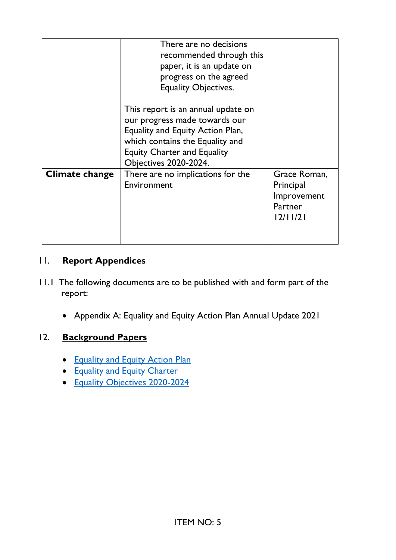|                       | There are no decisions<br>recommended through this<br>paper, it is an update on<br>progress on the agreed<br><b>Equality Objectives.</b>                                                                         |                                                                 |
|-----------------------|------------------------------------------------------------------------------------------------------------------------------------------------------------------------------------------------------------------|-----------------------------------------------------------------|
|                       | This report is an annual update on<br>our progress made towards our<br>Equality and Equity Action Plan,<br>which contains the Equality and<br><b>Equity Charter and Equality</b><br><b>Objectives 2020-2024.</b> |                                                                 |
| <b>Climate change</b> | There are no implications for the<br>Environment                                                                                                                                                                 | Grace Roman,<br>Principal<br>Improvement<br>Partner<br>12/11/21 |

### 11. **Report Appendices**

- 11.1 The following documents are to be published with and form part of the report:
	- Appendix A: Equality and Equity Action Plan Annual Update 2021

### 12. **Background Papers**

- [Equality and Equity Action Plan](https://committees.royalgreenwich.gov.uk/Document.ashx?czJKcaeAi5tUFL1DTL2UE4zNRBcoShgo=SFHrtkcZjBnGJBC1B%2fPLp5dxkpZqTmRTiv2NStQfYpEKl3PPA%2f18ug%3d%3d&rUzwRPf%2bZ3zd4E7Ikn8Lyw%3d%3d=pwRE6AGJFLDNlh225F5QMaQWCtPHwdhUfCZ%2fLUQzgA2uL5jNRG4jdQ%3d%3d&mCTIbCubSFfXsDGW9IXnlg%3d%3d=hFflUdN3100%3d&kCx1AnS9%2fpWZQ40DXFvdEw%3d%3d=hFflUdN3100%3d&uJovDxwdjMPoYv%2bAJvYtyA%3d%3d=ctNJFf55vVA%3d&FgPlIEJYlotS%2bYGoBi5olA%3d%3d=NHdURQburHA%3d&d9Qjj0ag1Pd993jsyOJqFvmyB7X0CSQK=ctNJFf55vVA%3d&WGewmoAfeNR9xqBux0r1Q8Za60lavYmz=ctNJFf55vVA%3d&WGewmoAfeNQ16B2MHuCpMRKZMwaG1PaO=ctNJFf55vVA%3d)
- [Equality and Equity Charter](https://committees.royalgreenwich.gov.uk/Document.ashx?czJKcaeAi5tUFL1DTL2UE4zNRBcoShgo=uTY81WHXuBP%2b%2bdr59ohtuYacYsMHWT7cpfFdoNDP59EQ1RMpvG9kzA%3d%3d&rUzwRPf%2bZ3zd4E7Ikn8Lyw%3d%3d=pwRE6AGJFLDNlh225F5QMaQWCtPHwdhUfCZ%2fLUQzgA2uL5jNRG4jdQ%3d%3d&mCTIbCubSFfXsDGW9IXnlg%3d%3d=hFflUdN3100%3d&kCx1AnS9%2fpWZQ40DXFvdEw%3d%3d=hFflUdN3100%3d&uJovDxwdjMPoYv%2bAJvYtyA%3d%3d=ctNJFf55vVA%3d&FgPlIEJYlotS%2bYGoBi5olA%3d%3d=NHdURQburHA%3d&d9Qjj0ag1Pd993jsyOJqFvmyB7X0CSQK=ctNJFf55vVA%3d&WGewmoAfeNR9xqBux0r1Q8Za60lavYmz=ctNJFf55vVA%3d&WGewmoAfeNQ16B2MHuCpMRKZMwaG1PaO=ctNJFf55vVA%3d)
- [Equality Objectives 2020-2024](https://committees.royalgreenwich.gov.uk/Document.ashx?czJKcaeAi5tUFL1DTL2UE4zNRBcoShgo=7uwBPMimIOCSS%2fzQC5kf83sIvkLCcdqlui9OLTiMOCA1t4XTYhk4Gw%3d%3d&rUzwRPf%2bZ3zd4E7Ikn8Lyw%3d%3d=pwRE6AGJFLDNlh225F5QMaQWCtPHwdhUfCZ%2fLUQzgA2uL5jNRG4jdQ%3d%3d&mCTIbCubSFfXsDGW9IXnlg%3d%3d=hFflUdN3100%3d&kCx1AnS9%2fpWZQ40DXFvdEw%3d%3d=hFflUdN3100%3d&uJovDxwdjMPoYv%2bAJvYtyA%3d%3d=ctNJFf55vVA%3d&FgPlIEJYlotS%2bYGoBi5olA%3d%3d=NHdURQburHA%3d&d9Qjj0ag1Pd993jsyOJqFvmyB7X0CSQK=ctNJFf55vVA%3d&WGewmoAfeNR9xqBux0r1Q8Za60lavYmz=ctNJFf55vVA%3d&WGewmoAfeNQ16B2MHuCpMRKZMwaG1PaO=ctNJFf55vVA%3d)